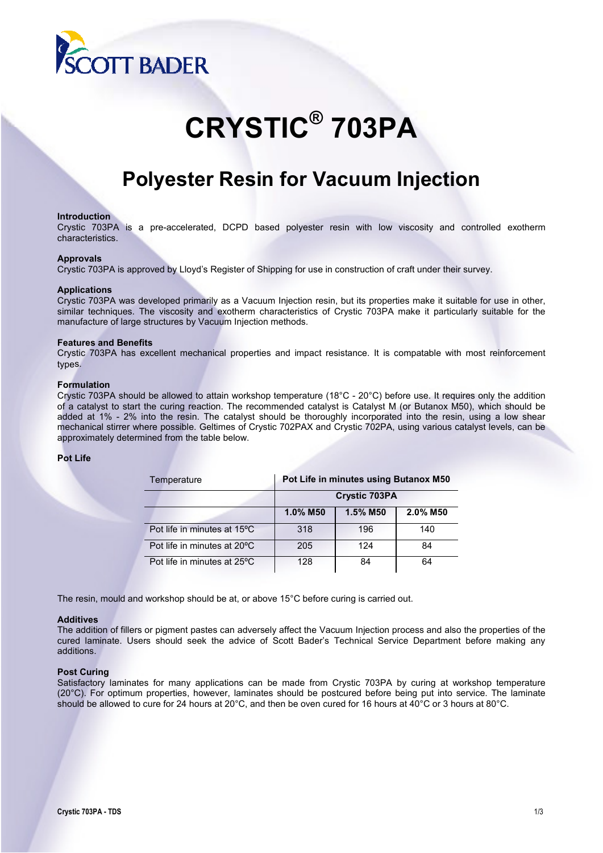

# **CRYSTIC® 703PA**

# **Polyester Resin for Vacuum Injection**

#### **Introduction**

Crystic 703PA is a pre-accelerated, DCPD based polyester resin with low viscosity and controlled exotherm characteristics.

#### **Approvals**

Crystic 703PA is approved by Lloyd's Register of Shipping for use in construction of craft under their survey.

#### **Applications**

Crystic 703PA was developed primarily as a Vacuum Injection resin, but its properties make it suitable for use in other, similar techniques. The viscosity and exotherm characteristics of Crystic 703PA make it particularly suitable for the manufacture of large structures by Vacuum Injection methods.

#### **Features and Benefits**

Crystic 703PA has excellent mechanical properties and impact resistance. It is compatable with most reinforcement types.

#### **Formulation**

Crystic 703PA should be allowed to attain workshop temperature (18°C - 20°C) before use. It requires only the addition of a catalyst to start the curing reaction. The recommended catalyst is Catalyst M (or Butanox M50), which should be added at 1% - 2% into the resin. The catalyst should be thoroughly incorporated into the resin, using a low shear mechanical stirrer where possible. Geltimes of Crystic 702PAX and Crystic 702PA, using various catalyst levels, can be approximately determined from the table below.

#### **Pot Life**

| Temperature                 | Pot Life in minutes using Butanox M50 |          |          |  |  |
|-----------------------------|---------------------------------------|----------|----------|--|--|
|                             | <b>Crystic 703PA</b>                  |          |          |  |  |
|                             | 1.0% M50                              | 1.5% M50 | 2.0% M50 |  |  |
| Pot life in minutes at 15°C | 318                                   | 196      | 140      |  |  |
| Pot life in minutes at 20°C | 205                                   | 124      | 84       |  |  |
| Pot life in minutes at 25°C | 128                                   | 84       | 64       |  |  |

The resin, mould and workshop should be at, or above 15°C before curing is carried out.

#### **Additives**

The addition of fillers or pigment pastes can adversely affect the Vacuum Injection process and also the properties of the cured laminate. Users should seek the advice of Scott Bader's Technical Service Department before making any additions.

### **Post Curing**

Satisfactory laminates for many applications can be made from Crystic 703PA by curing at workshop temperature (20°C). For optimum properties, however, laminates should be postcured before being put into service. The laminate should be allowed to cure for 24 hours at 20°C, and then be oven cured for 16 hours at 40°C or 3 hours at 80°C.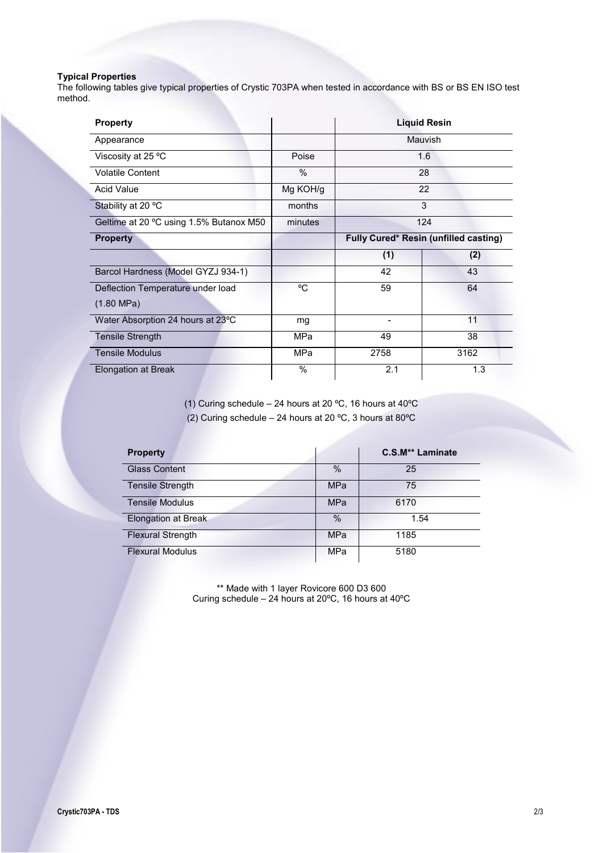# **Typical Properties**

The following tables give typical properties of Crystic 703PA when tested in accordance with BS or BS EN ISO test method.

| <b>Property</b>                         |            | <b>Liquid Resin</b>                   |      |  |
|-----------------------------------------|------------|---------------------------------------|------|--|
| Appearance                              |            | Mauvish                               |      |  |
| Viscosity at 25 °C                      | Poise      | 1.6                                   |      |  |
| <b>Volatile Content</b>                 | $\%$       | 28                                    |      |  |
| Acid Value                              | Mg KOH/g   | 22                                    |      |  |
| Stability at 20 °C                      | months     | 3                                     |      |  |
| Geltime at 20 °C using 1.5% Butanox M50 | minutes    | 124                                   |      |  |
| <b>Property</b>                         |            | Fully Cured* Resin (unfilled casting) |      |  |
|                                         |            | (1)                                   | (2)  |  |
| Barcol Hardness (Model GYZJ 934-1)      |            | 42                                    | 43   |  |
| Deflection Temperature under load       | °C         | 59                                    | 64   |  |
| $(1.80 \text{ MPa})$                    |            |                                       |      |  |
| Water Absorption 24 hours at 23°C       | mg         |                                       | 11   |  |
| <b>Tensile Strength</b>                 | MPa        | 49                                    | 38   |  |
| <b>Tensile Modulus</b>                  | <b>MPa</b> | 2758                                  | 3162 |  |
| Elongation at Break                     | %          | 2.1                                   | 1.3  |  |

(1) Curing schedule – 24 hours at 20 ºC, 16 hours at 40ºC (2) Curing schedule – 24 hours at 20 ºC, 3 hours at 80ºC

| <b>Property</b>            |               | <b>C.S.M** Laminate</b> |
|----------------------------|---------------|-------------------------|
| <b>Glass Content</b>       | $\frac{0}{0}$ | 25                      |
| <b>Tensile Strength</b>    | <b>MPa</b>    | 75                      |
| <b>Tensile Modulus</b>     | <b>MPa</b>    | 6170                    |
| <b>Elongation at Break</b> | $\%$          | 1.54                    |
| <b>Flexural Strength</b>   | <b>MPa</b>    | 1185                    |
| <b>Flexural Modulus</b>    | <b>MPa</b>    | 5180                    |

\*\* Made with 1 layer Rovicore 600 D3 600 Curing schedule – 24 hours at 20ºC, 16 hours at 40ºC